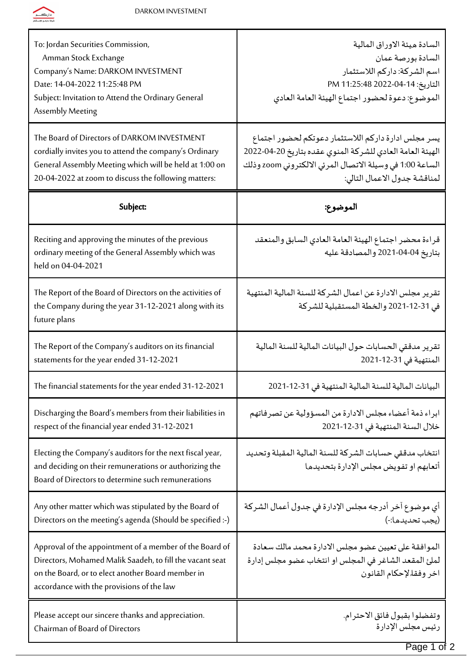

| To: Jordan Securities Commission,<br>Amman Stock Exchange<br>Company's Name: DARKOM INVESTMENT<br>Date: 14-04-2022 11:25:48 PM<br>Subject: Invitation to Attend the Ordinary General<br>Assembly Meeting                | السادة ميئة الاوراق المالية<br>السادة بورصة عمان<br>اسم الشركة: داركم اللاستثمار<br>التاريخ: 14-04-2022 PM 11:25:48<br>الموضوع: دعوة لحضور اجتماع الهيئة العامة العادي                                      |
|-------------------------------------------------------------------------------------------------------------------------------------------------------------------------------------------------------------------------|-------------------------------------------------------------------------------------------------------------------------------------------------------------------------------------------------------------|
| The Board of Directors of DARKOM INVESTMENT<br>cordially invites you to attend the company's Ordinary<br>General Assembly Meeting which will be held at 1:00 on<br>20-04-2022 at zoom to discuss the following matters: | يسر مجلس ادارة داركم اللاستثمار دعوتكم لحضور اجتماع<br>الهيئة العامة العادي للشركة المنوي عقده بتاريخ 20-4-2022<br>الساعة 1:00 في وسيلة الاتصال المرئي الالكتروني zoom وذلك<br>لمناقشة جدول الاعمال التالي: |
| Subject:                                                                                                                                                                                                                | الموضوع:                                                                                                                                                                                                    |
| Reciting and approving the minutes of the previous<br>ordinary meeting of the General Assembly which was<br>held on 04-04-2021                                                                                          | قراءة محضر اجتماع الهيئة العامة العادي السابق والمنعقد<br>بتاريخ 04-04-2021 والمصادقة عليه                                                                                                                  |
| The Report of the Board of Directors on the activities of<br>the Company during the year 31-12-2021 along with its<br>future plans                                                                                      | تقرير مجلس الادارة عن اعمال الشركة للسنة المالية المنتهية<br>في 31-12-2021 والخطة المستقبلية للشركة                                                                                                         |
| The Report of the Company's auditors on its financial<br>statements for the year ended 31-12-2021                                                                                                                       | تقرير مدققى الحسابات حول البيانات المالية للسنة المالية<br>المنتهية في 31-12-2021                                                                                                                           |
| The financial statements for the year ended 31-12-2021                                                                                                                                                                  | البيانات المالية للسنة المالية المنتهية في 31-12-2021                                                                                                                                                       |
| Discharging the Board's members from their liabilities in<br>respect of the financial year ended 31-12-2021                                                                                                             | ابراء ذمة أعضاء مجلس الادارة من المسؤولية عن تصرفاتهم<br>خلال السنة المنتهية في 31-12-2021                                                                                                                  |
| Electing the Company's auditors for the next fiscal year,<br>and deciding on their remunerations or authorizing the<br>Board of Directors to determine such remunerations                                               | انتخاب مدققي حسابات الشركة للسنة المالية المقبلة وتحديد<br>أتعابهم او تفويض مجلس الإدارة بتحديدها                                                                                                           |
| Any other matter which was stipulated by the Board of<br>Directors on the meeting's agenda (Should be specified :-)                                                                                                     | أي موضوع آخر أدرجه مجلس الإدارة في جدول أعمال الشركة<br>(يجب تحديدها:-)                                                                                                                                     |
| Approval of the appointment of a member of the Board of<br>Directors, Mohamed Malik Saadeh, to fill the vacant seat<br>on the Board, or to elect another Board member in<br>accordance with the provisions of the law   | الموافقة على تعيين عضو مجلس الادارة محمد مالك سعادة<br>لملئ المقعد الشاغر في المجلس او انتخاب عضو مجلس إدارة<br>اخر وفقالإحكام القانون                                                                      |
| Please accept our sincere thanks and appreciation.<br>Chairman of Board of Directors                                                                                                                                    | وتفضلوا بقبول فائق الاحترام.<br>رئيس مجلس الإدارة                                                                                                                                                           |